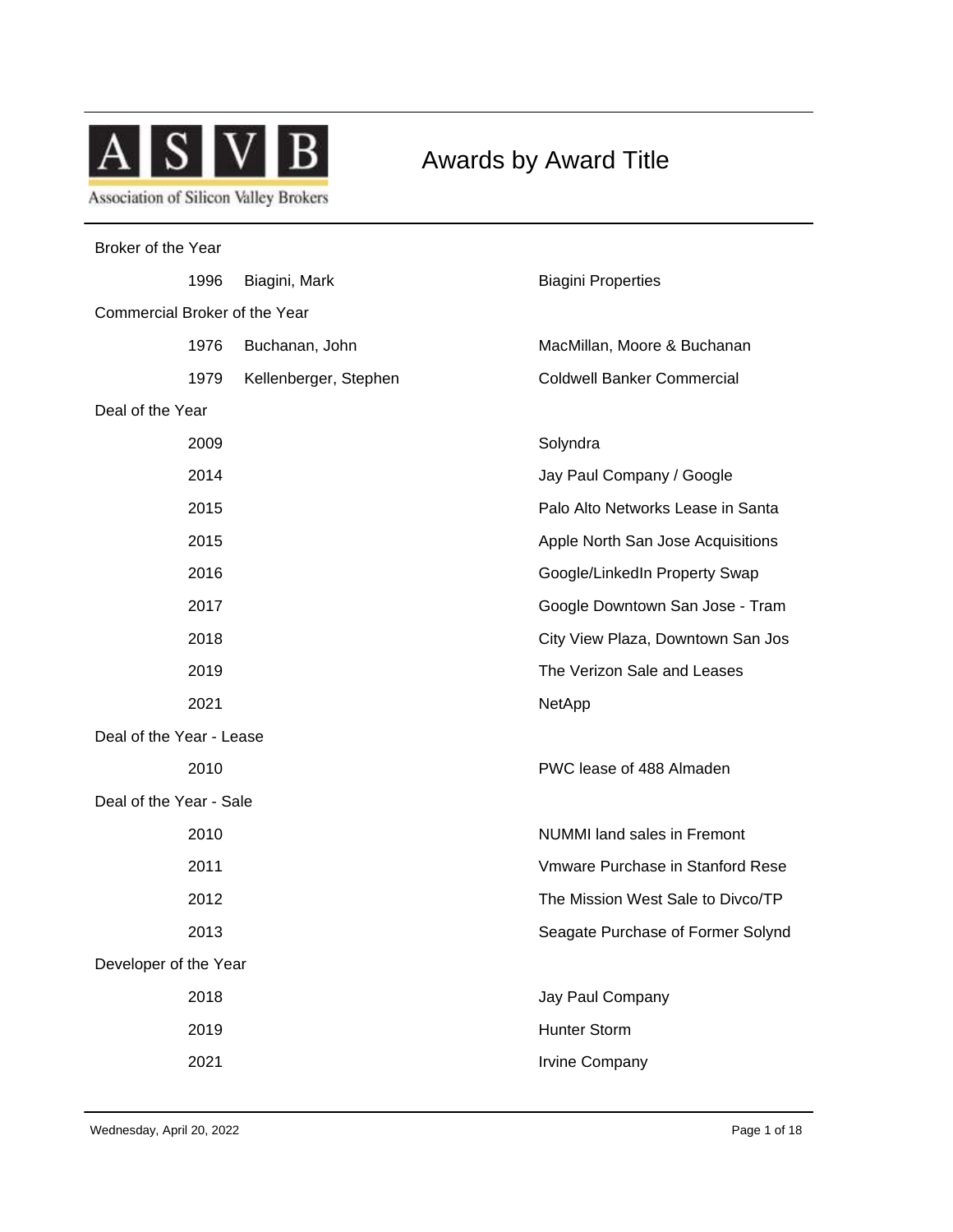

Awards by Award Title

| Broker of the Year            |                       |                                    |  |  |
|-------------------------------|-----------------------|------------------------------------|--|--|
| 1996                          | Biagini, Mark         | <b>Biagini Properties</b>          |  |  |
| Commercial Broker of the Year |                       |                                    |  |  |
| 1976                          | Buchanan, John        | MacMillan, Moore & Buchanan        |  |  |
| 1979                          | Kellenberger, Stephen | <b>Coldwell Banker Commercial</b>  |  |  |
| Deal of the Year              |                       |                                    |  |  |
| 2009                          |                       | Solyndra                           |  |  |
| 2014                          |                       | Jay Paul Company / Google          |  |  |
| 2015                          |                       | Palo Alto Networks Lease in Santa  |  |  |
| 2015                          |                       | Apple North San Jose Acquisitions  |  |  |
| 2016                          |                       | Google/LinkedIn Property Swap      |  |  |
| 2017                          |                       | Google Downtown San Jose - Tram    |  |  |
| 2018                          |                       | City View Plaza, Downtown San Jos  |  |  |
| 2019                          |                       | The Verizon Sale and Leases        |  |  |
| 2021                          |                       | NetApp                             |  |  |
| Deal of the Year - Lease      |                       |                                    |  |  |
| 2010                          |                       | PWC lease of 488 Almaden           |  |  |
| Deal of the Year - Sale       |                       |                                    |  |  |
| 2010                          |                       | <b>NUMMI</b> land sales in Fremont |  |  |
| 2011                          |                       | Vmware Purchase in Stanford Rese   |  |  |
| 2012                          |                       | The Mission West Sale to Divco/TP  |  |  |
| 2013                          |                       | Seagate Purchase of Former Solynd  |  |  |
| Developer of the Year         |                       |                                    |  |  |
| 2018                          |                       | Jay Paul Company                   |  |  |
| 2019                          |                       | <b>Hunter Storm</b>                |  |  |
| 2021                          |                       | <b>Irvine Company</b>              |  |  |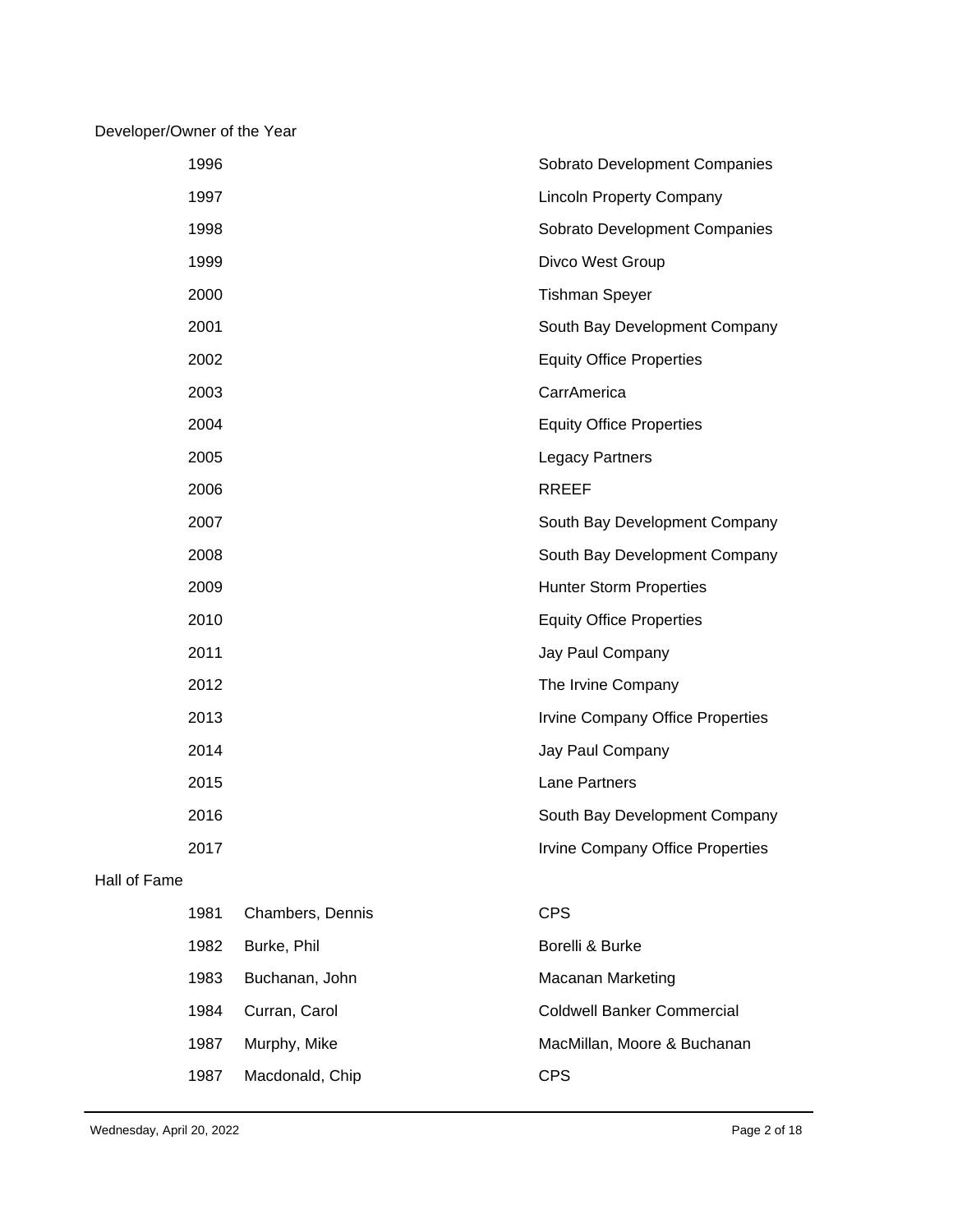## Developer/Owner of the Year

|              | 1996 |                  | Sobrato Development Companies     |
|--------------|------|------------------|-----------------------------------|
|              | 1997 |                  | <b>Lincoln Property Company</b>   |
|              | 1998 |                  | Sobrato Development Companies     |
|              | 1999 |                  | Divco West Group                  |
|              | 2000 |                  | <b>Tishman Speyer</b>             |
|              | 2001 |                  | South Bay Development Company     |
|              | 2002 |                  | <b>Equity Office Properties</b>   |
|              | 2003 |                  | CarrAmerica                       |
|              | 2004 |                  | <b>Equity Office Properties</b>   |
|              | 2005 |                  | <b>Legacy Partners</b>            |
|              | 2006 |                  | <b>RREEF</b>                      |
|              | 2007 |                  | South Bay Development Company     |
|              | 2008 |                  | South Bay Development Company     |
|              | 2009 |                  | <b>Hunter Storm Properties</b>    |
|              | 2010 |                  | <b>Equity Office Properties</b>   |
|              | 2011 |                  | Jay Paul Company                  |
|              | 2012 |                  | The Irvine Company                |
|              | 2013 |                  | Irvine Company Office Properties  |
|              | 2014 |                  | Jay Paul Company                  |
|              | 2015 |                  | Lane Partners                     |
|              | 2016 |                  | South Bay Development Company     |
|              | 2017 |                  | Irvine Company Office Properties  |
| Hall of Fame |      |                  |                                   |
|              | 1981 | Chambers, Dennis | <b>CPS</b>                        |
|              | 1982 | Burke, Phil      | Borelli & Burke                   |
|              | 1983 | Buchanan, John   | <b>Macanan Marketing</b>          |
|              | 1984 | Curran, Carol    | <b>Coldwell Banker Commercial</b> |

1987 Macdonald, Chip CPS

1987 Murphy, Mike **MacMillan**, Moore & Buchanan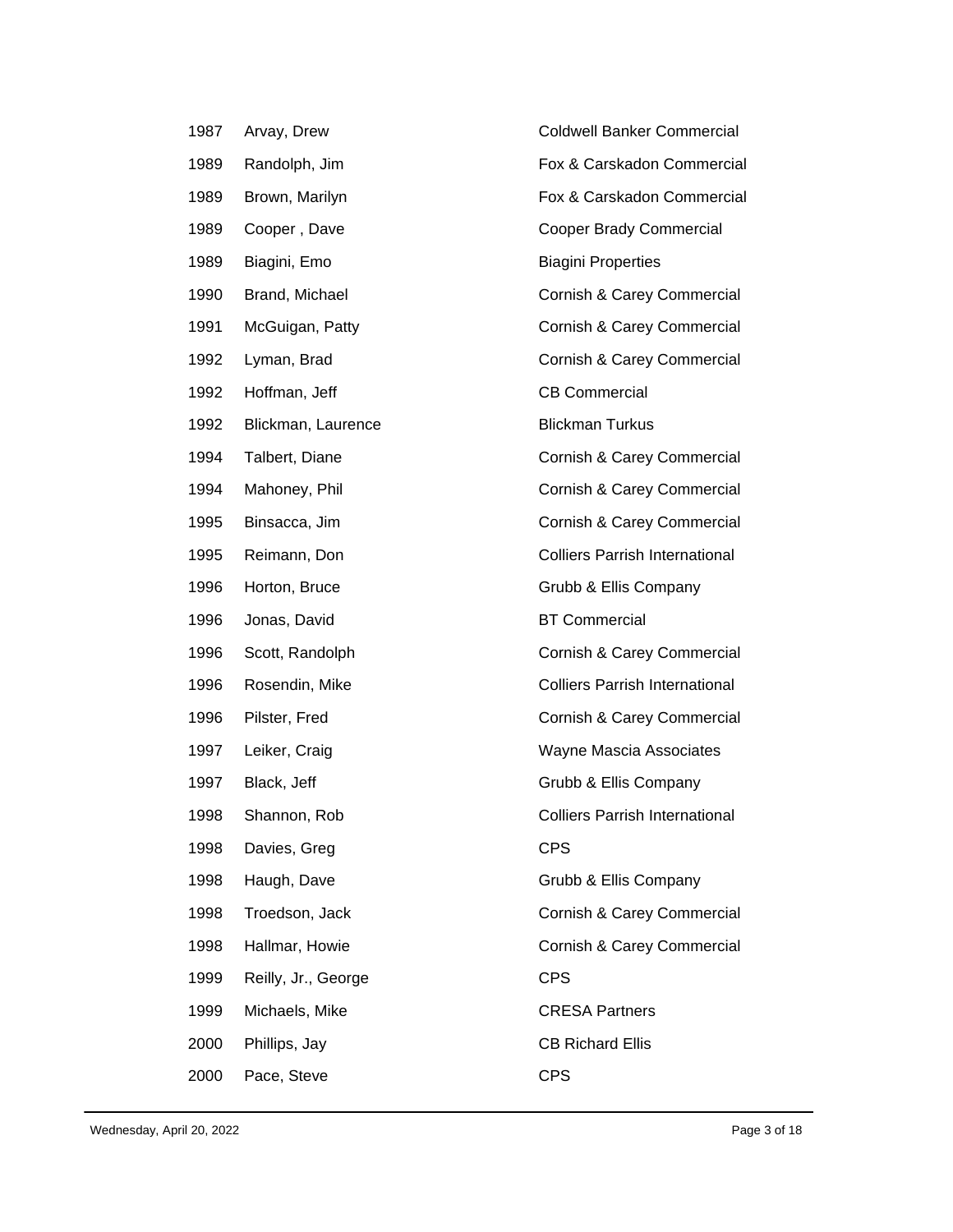| 1987 | Arvay, Drew         | <b>Coldwell Banker Commercial</b>     |
|------|---------------------|---------------------------------------|
| 1989 | Randolph, Jim       | Fox & Carskadon Commercial            |
| 1989 | Brown, Marilyn      | Fox & Carskadon Commercial            |
| 1989 | Cooper, Dave        | <b>Cooper Brady Commercial</b>        |
| 1989 | Biagini, Emo        | <b>Biagini Properties</b>             |
| 1990 | Brand, Michael      | Cornish & Carey Commercial            |
| 1991 | McGuigan, Patty     | Cornish & Carey Commercial            |
| 1992 | Lyman, Brad         | Cornish & Carey Commercial            |
| 1992 | Hoffman, Jeff       | <b>CB Commercial</b>                  |
| 1992 | Blickman, Laurence  | <b>Blickman Turkus</b>                |
| 1994 | Talbert, Diane      | Cornish & Carey Commercial            |
| 1994 | Mahoney, Phil       | Cornish & Carey Commercial            |
| 1995 | Binsacca, Jim       | Cornish & Carey Commercial            |
| 1995 | Reimann, Don        | <b>Colliers Parrish International</b> |
| 1996 | Horton, Bruce       | Grubb & Ellis Company                 |
| 1996 | Jonas, David        | <b>BT Commercial</b>                  |
| 1996 | Scott, Randolph     | Cornish & Carey Commercial            |
| 1996 | Rosendin, Mike      | <b>Colliers Parrish International</b> |
| 1996 | Pilster, Fred       | Cornish & Carey Commercial            |
| 1997 | Leiker, Craig       | Wayne Mascia Associates               |
| 1997 | Black, Jeff         | Grubb & Ellis Company                 |
| 1998 | Shannon, Rob        | <b>Colliers Parrish International</b> |
| 1998 | Davies, Greg        | <b>CPS</b>                            |
| 1998 | Haugh, Dave         | Grubb & Ellis Company                 |
| 1998 | Troedson, Jack      | Cornish & Carey Commercial            |
| 1998 | Hallmar, Howie      | Cornish & Carey Commercial            |
| 1999 | Reilly, Jr., George | <b>CPS</b>                            |
| 1999 | Michaels, Mike      | <b>CRESA Partners</b>                 |
| 2000 | Phillips, Jay       | <b>CB Richard Ellis</b>               |
| 2000 | Pace, Steve         | <b>CPS</b>                            |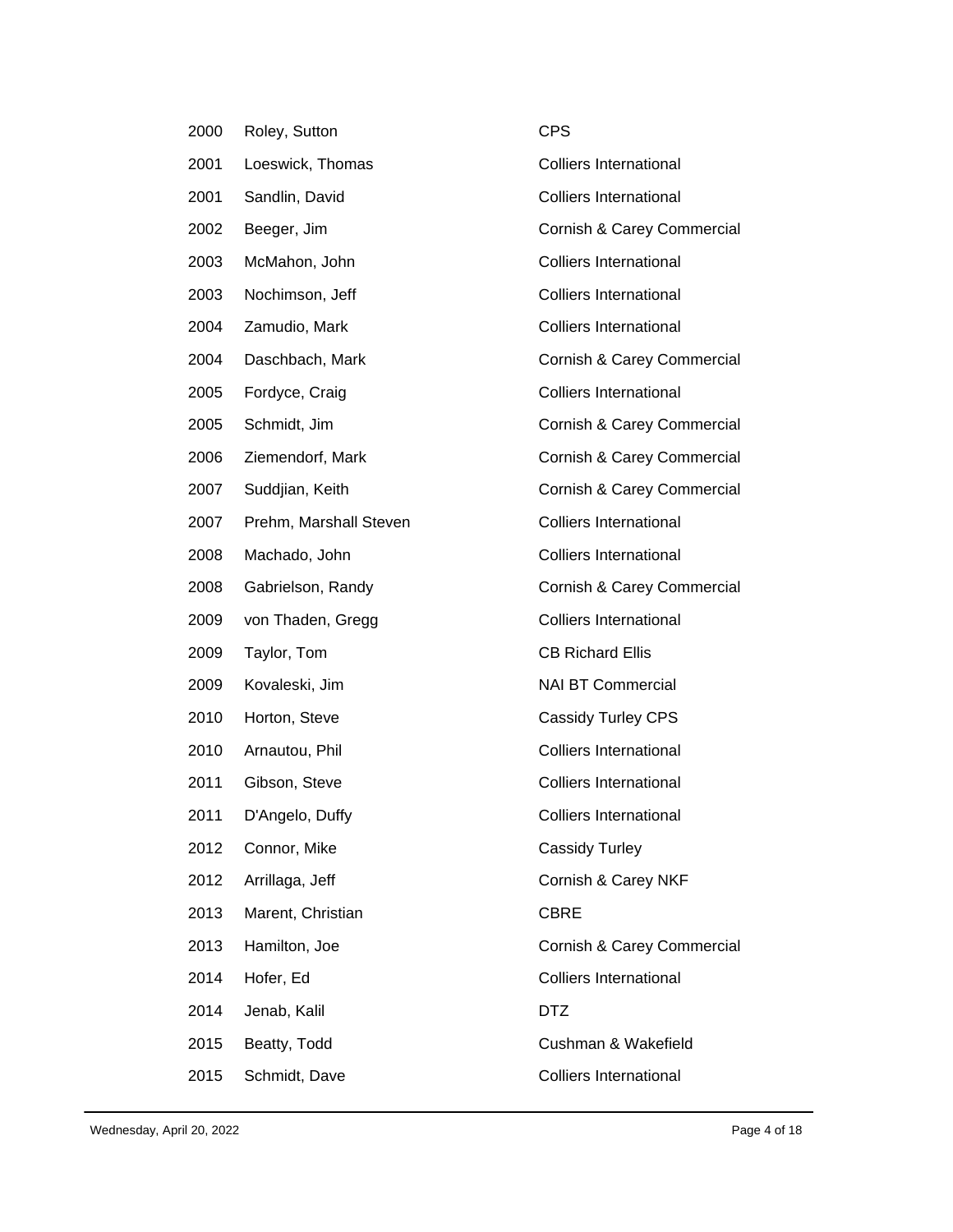| 2000 | Roley, Sutton          | <b>CPS</b>                    |
|------|------------------------|-------------------------------|
| 2001 | Loeswick, Thomas       | <b>Colliers International</b> |
| 2001 | Sandlin, David         | <b>Colliers International</b> |
| 2002 | Beeger, Jim            | Cornish & Carey Commercial    |
| 2003 | McMahon, John          | <b>Colliers International</b> |
| 2003 | Nochimson, Jeff        | <b>Colliers International</b> |
| 2004 | Zamudio, Mark          | <b>Colliers International</b> |
| 2004 | Daschbach, Mark        | Cornish & Carey Commercial    |
| 2005 | Fordyce, Craig         | <b>Colliers International</b> |
| 2005 | Schmidt, Jim           | Cornish & Carey Commercial    |
| 2006 | Ziemendorf, Mark       | Cornish & Carey Commercial    |
| 2007 | Suddjian, Keith        | Cornish & Carey Commercial    |
| 2007 | Prehm, Marshall Steven | <b>Colliers International</b> |
| 2008 | Machado, John          | <b>Colliers International</b> |
| 2008 | Gabrielson, Randy      | Cornish & Carey Commercial    |
| 2009 | von Thaden, Gregg      | <b>Colliers International</b> |
| 2009 | Taylor, Tom            | <b>CB Richard Ellis</b>       |
| 2009 | Kovaleski, Jim         | <b>NAI BT Commercial</b>      |
| 2010 | Horton, Steve          | <b>Cassidy Turley CPS</b>     |
| 2010 | Arnautou, Phil         | <b>Colliers International</b> |
| 2011 | Gibson, Steve          | <b>Colliers International</b> |
| 2011 | D'Angelo, Duffy        | Colliers International        |
| 2012 | Connor, Mike           | <b>Cassidy Turley</b>         |
| 2012 | Arrillaga, Jeff        | Cornish & Carey NKF           |
| 2013 | Marent, Christian      | <b>CBRE</b>                   |
| 2013 | Hamilton, Joe          | Cornish & Carey Commercial    |
| 2014 |                        |                               |
|      | Hofer, Ed              | <b>Colliers International</b> |
| 2014 | Jenab, Kalil           | <b>DTZ</b>                    |
| 2015 | Beatty, Todd           | Cushman & Wakefield           |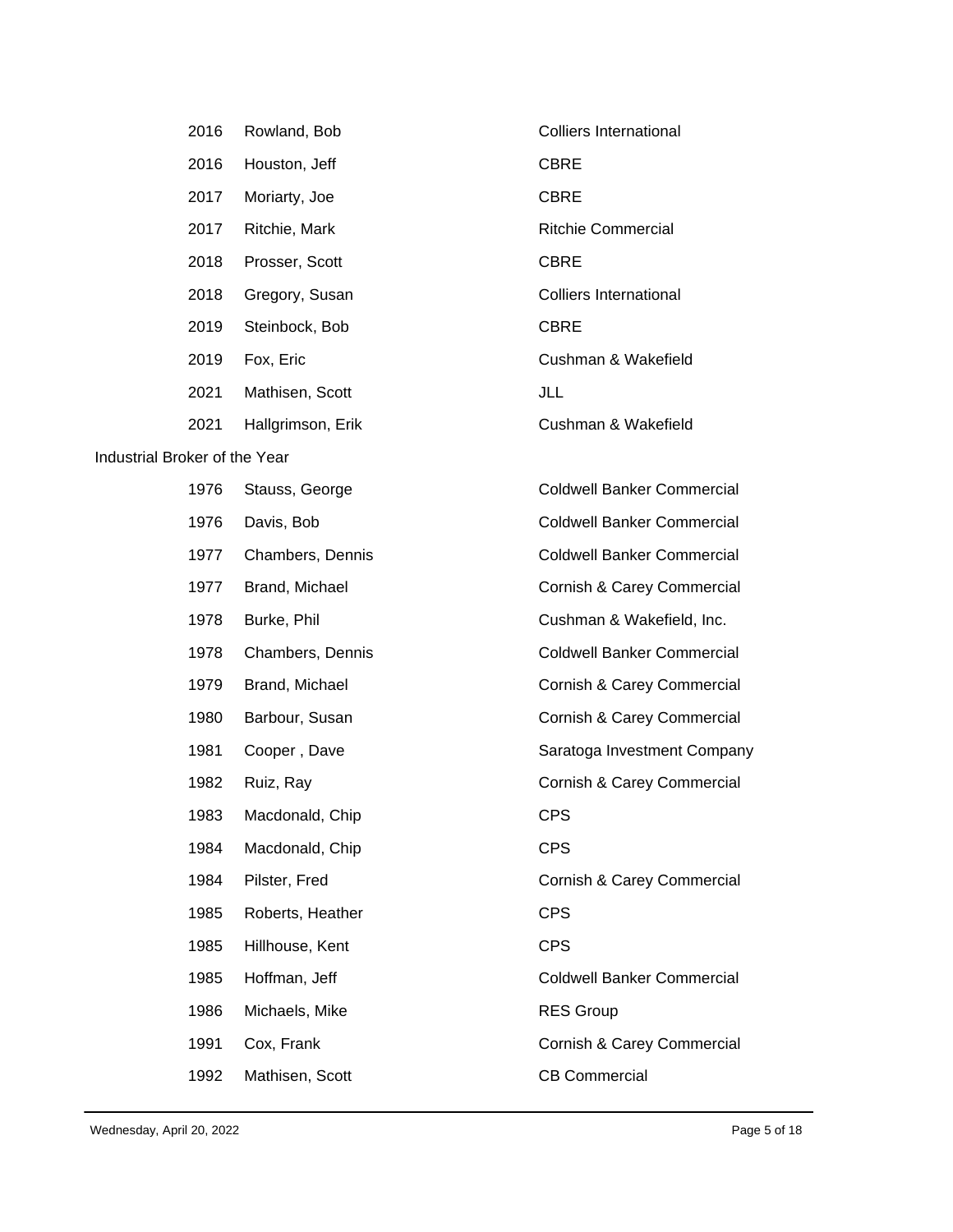| 2016 | Rowland, Bob       | <b>Colliers International</b>     |
|------|--------------------|-----------------------------------|
| 2016 | Houston, Jeff      | <b>CBRE</b>                       |
| 2017 | Moriarty, Joe      | <b>CBRE</b>                       |
| 2017 | Ritchie, Mark      | <b>Ritchie Commercial</b>         |
| 2018 | Prosser, Scott     | <b>CBRE</b>                       |
| 2018 | Gregory, Susan     | <b>Colliers International</b>     |
| 2019 | Steinbock, Bob     | <b>CBRE</b>                       |
| 2019 | Fox, Eric          | Cushman & Wakefield               |
| 2021 | Mathisen, Scott    | JLL                               |
| 2021 | Hallgrimson, Erik  | Cushman & Wakefield               |
|      | Broker of the Year |                                   |
| 1976 | Stauss, George     | <b>Coldwell Banker Commercial</b> |
| 1976 | Davis, Bob         | <b>Coldwell Banker Commercial</b> |
| 1977 | Chambers, Dennis   | <b>Coldwell Banker Commercial</b> |
| 1977 | Brand, Michael     | Cornish & Carey Commercial        |
| 1978 | Burke, Phil        | Cushman & Wakefield, Inc.         |

## **Industrial**

| 1978 | Chambers, Denni |  |
|------|-----------------|--|
|      |                 |  |

- 
- 
- 
- 
- 1983 Macdonald, Chip CPS
- 1984 Macdonald, Chip CPS
- 
- 1985 Roberts, Heather CPS
- 1985 Hillhouse, Kent CPS
- 1986 Michaels, Mike RES Group
- 
- 1992 Mathisen, Scott CB Commercial

1978 is a coldwell Banker Commercial 1979 Brand, Michael **Commercial** Cornish & Carey Commercial 1980 Barbour, Susan Cornish & Carey Commercial 1981 Cooper, Dave Saratoga Investment Company 1982 Ruiz, Ray **Commercial** Cornish & Carey Commercial 1984 Pilster, Fred Cornish & Carey Commercial 1985 Hoffman, Jeff Coldwell Banker Commercial 1991 Cox, Frank Cornish & Carey Commercial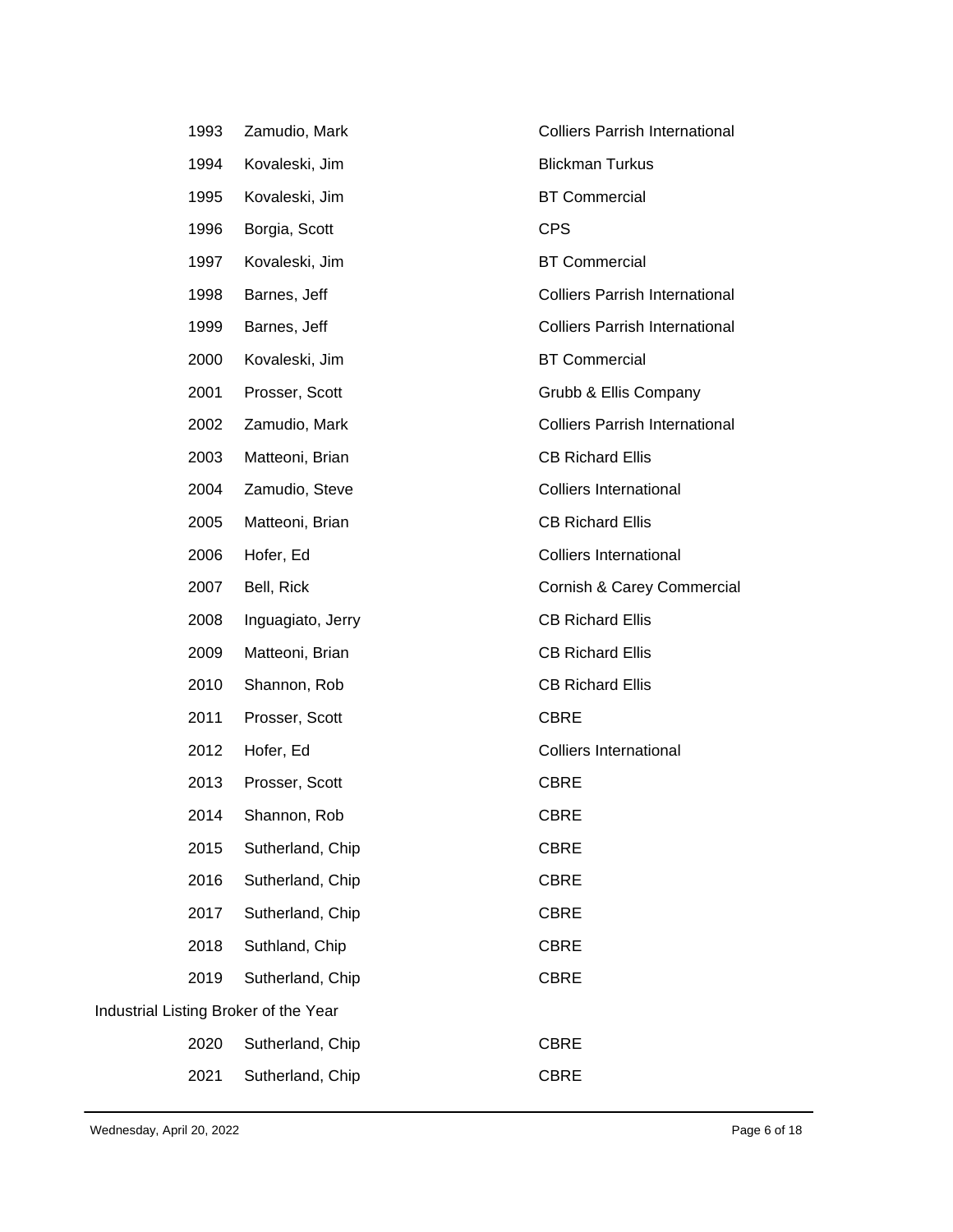|                                       | 1993 | Zamudio, Mark     | <b>Colliers Parrish International</b> |
|---------------------------------------|------|-------------------|---------------------------------------|
|                                       | 1994 | Kovaleski, Jim    | <b>Blickman Turkus</b>                |
|                                       | 1995 | Kovaleski, Jim    | <b>BT Commercial</b>                  |
|                                       | 1996 | Borgia, Scott     | <b>CPS</b>                            |
|                                       | 1997 | Kovaleski, Jim    | <b>BT Commercial</b>                  |
|                                       | 1998 | Barnes, Jeff      | <b>Colliers Parrish International</b> |
|                                       | 1999 | Barnes, Jeff      | <b>Colliers Parrish International</b> |
|                                       | 2000 | Kovaleski, Jim    | <b>BT Commercial</b>                  |
|                                       | 2001 | Prosser, Scott    | Grubb & Ellis Company                 |
|                                       | 2002 | Zamudio, Mark     | <b>Colliers Parrish International</b> |
|                                       | 2003 | Matteoni, Brian   | <b>CB Richard Ellis</b>               |
|                                       | 2004 | Zamudio, Steve    | <b>Colliers International</b>         |
|                                       | 2005 | Matteoni, Brian   | <b>CB Richard Ellis</b>               |
|                                       | 2006 | Hofer, Ed         | <b>Colliers International</b>         |
|                                       | 2007 | Bell, Rick        | Cornish & Carey Commercial            |
|                                       | 2008 | Inguagiato, Jerry | <b>CB Richard Ellis</b>               |
|                                       | 2009 | Matteoni, Brian   | <b>CB Richard Ellis</b>               |
|                                       | 2010 | Shannon, Rob      | <b>CB Richard Ellis</b>               |
|                                       | 2011 | Prosser, Scott    | <b>CBRE</b>                           |
|                                       | 2012 | Hofer, Ed         | <b>Colliers International</b>         |
|                                       | 2013 | Prosser, Scott    | <b>CBRE</b>                           |
|                                       | 2014 | Shannon, Rob      | <b>CBRE</b>                           |
|                                       | 2015 | Sutherland, Chip  | <b>CBRE</b>                           |
|                                       | 2016 | Sutherland, Chip  | <b>CBRE</b>                           |
|                                       | 2017 | Sutherland, Chip  | <b>CBRE</b>                           |
|                                       | 2018 | Suthland, Chip    | <b>CBRE</b>                           |
|                                       | 2019 | Sutherland, Chip  | <b>CBRE</b>                           |
| Industrial Listing Broker of the Year |      |                   |                                       |
|                                       | 2020 | Sutherland, Chip  | <b>CBRE</b>                           |
|                                       | 2021 | Sutherland, Chip  | <b>CBRE</b>                           |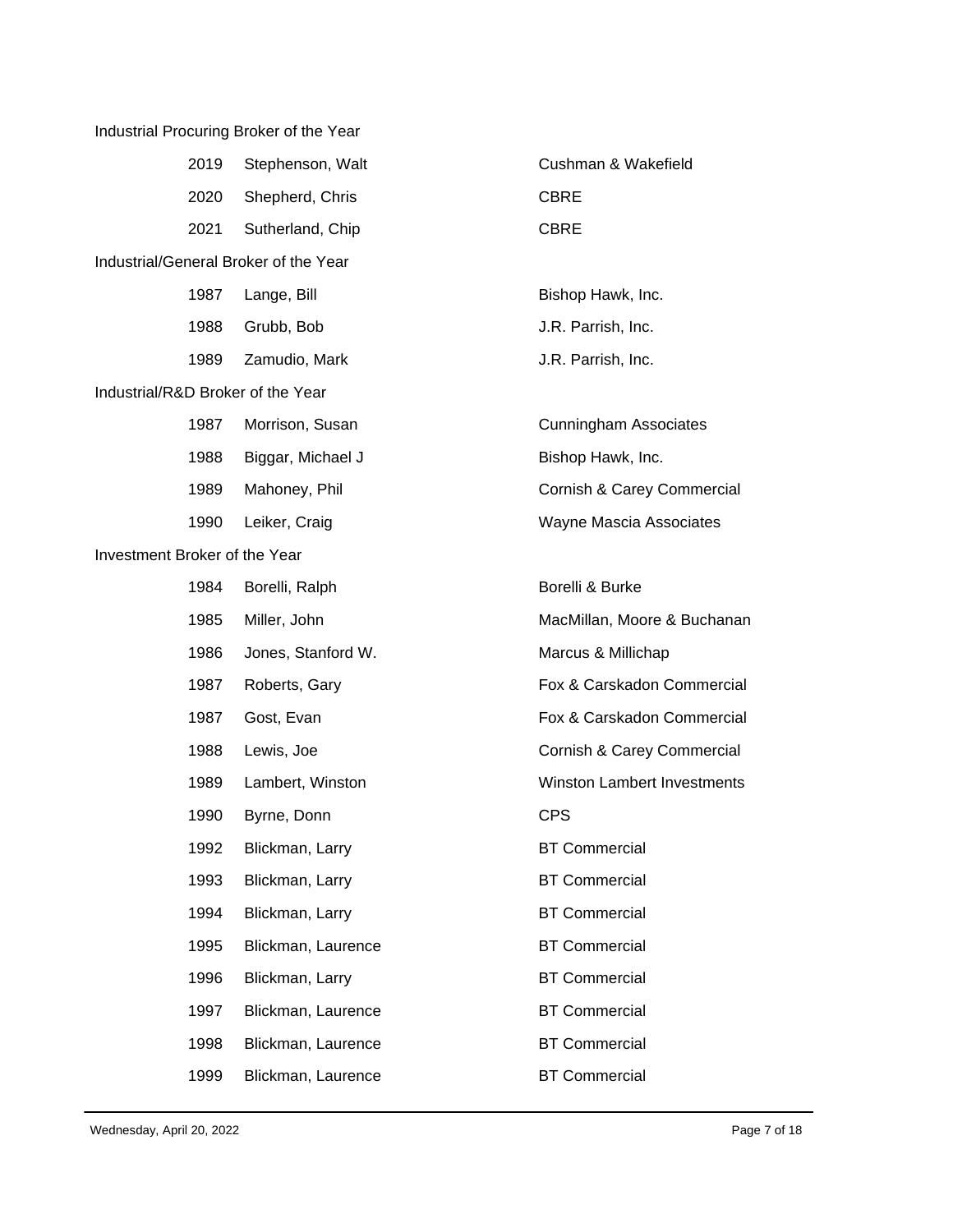|                               |      | Industrial Procuring Broker of the Year |                                    |
|-------------------------------|------|-----------------------------------------|------------------------------------|
|                               | 2019 | Stephenson, Walt                        | Cushman & Wakefield                |
|                               | 2020 | Shepherd, Chris                         | <b>CBRE</b>                        |
|                               | 2021 | Sutherland, Chip                        | <b>CBRE</b>                        |
|                               |      | Industrial/General Broker of the Year   |                                    |
|                               | 1987 | Lange, Bill                             | Bishop Hawk, Inc.                  |
|                               | 1988 | Grubb, Bob                              | J.R. Parrish, Inc.                 |
|                               | 1989 | Zamudio, Mark                           | J.R. Parrish, Inc.                 |
|                               |      | Industrial/R&D Broker of the Year       |                                    |
|                               | 1987 | Morrison, Susan                         | <b>Cunningham Associates</b>       |
|                               | 1988 | Biggar, Michael J                       | Bishop Hawk, Inc.                  |
|                               | 1989 | Mahoney, Phil                           | Cornish & Carey Commercial         |
|                               | 1990 | Leiker, Craig                           | <b>Wayne Mascia Associates</b>     |
| Investment Broker of the Year |      |                                         |                                    |
|                               | 1984 | Borelli, Ralph                          | Borelli & Burke                    |
|                               | 1985 | Miller, John                            | MacMillan, Moore & Buchanan        |
|                               | 1986 | Jones, Stanford W.                      | Marcus & Millichap                 |
|                               | 1987 | Roberts, Gary                           | Fox & Carskadon Commercial         |
|                               | 1987 | Gost, Evan                              | Fox & Carskadon Commercial         |
|                               | 1988 | Lewis, Joe                              | Cornish & Carey Commercial         |
|                               | 1989 | Lambert, Winston                        | <b>Winston Lambert Investments</b> |
|                               | 1990 | Byrne, Donn                             | <b>CPS</b>                         |
|                               | 1992 | Blickman, Larry                         | <b>BT Commercial</b>               |
|                               | 1993 | Blickman, Larry                         | <b>BT Commercial</b>               |
|                               | 1994 | Blickman, Larry                         | <b>BT Commercial</b>               |
|                               | 1995 | Blickman, Laurence                      | <b>BT Commercial</b>               |
|                               | 1996 | Blickman, Larry                         | <b>BT Commercial</b>               |
|                               | 1997 | Blickman, Laurence                      | <b>BT Commercial</b>               |
|                               | 1998 | Blickman, Laurence                      | <b>BT Commercial</b>               |
|                               | 1999 | Blickman, Laurence                      | <b>BT Commercial</b>               |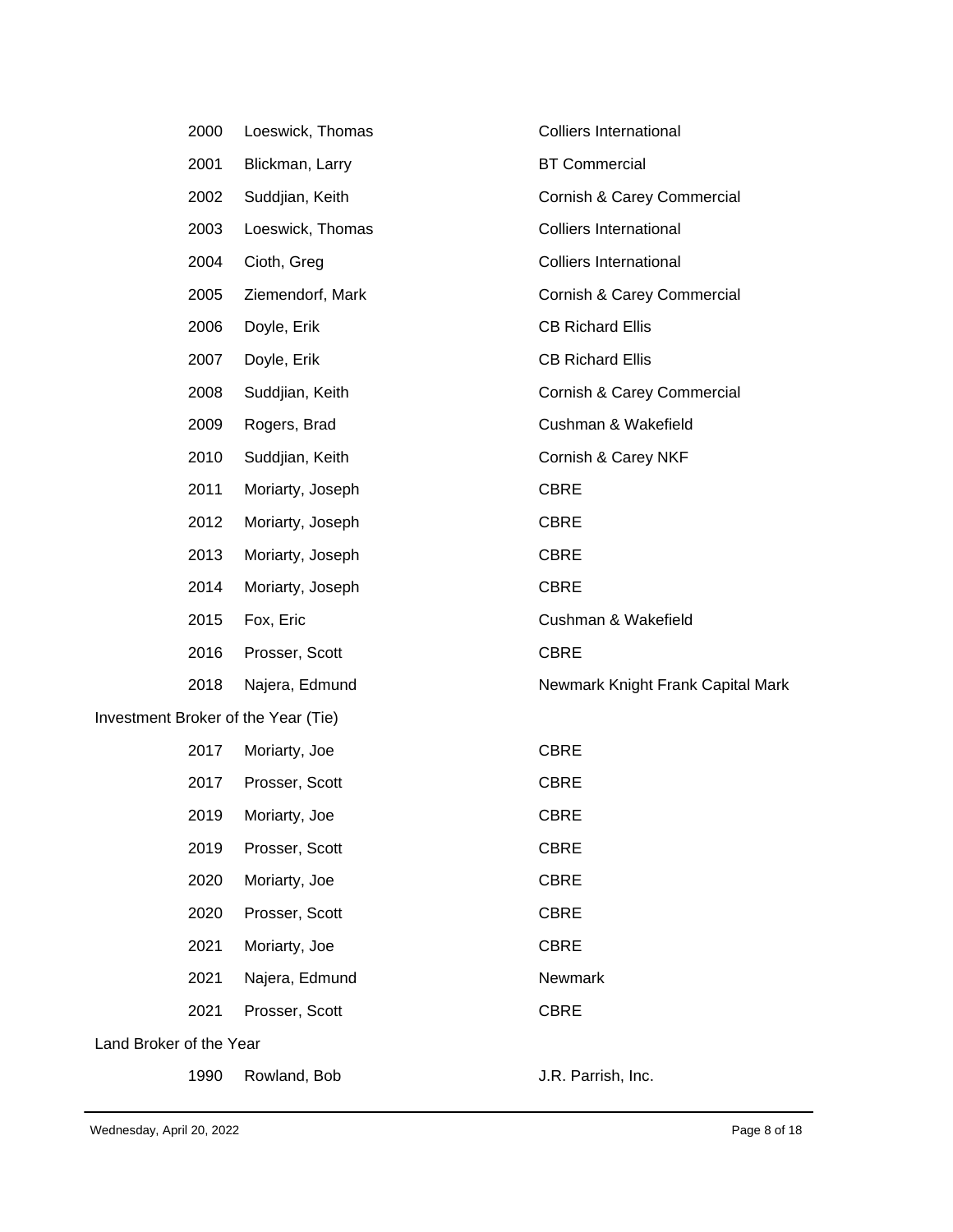|                         | 2000 | Loeswick, Thomas                    | <b>Colliers International</b>     |
|-------------------------|------|-------------------------------------|-----------------------------------|
|                         | 2001 | Blickman, Larry                     | <b>BT Commercial</b>              |
|                         | 2002 | Suddjian, Keith                     | Cornish & Carey Commercial        |
|                         | 2003 | Loeswick, Thomas                    | <b>Colliers International</b>     |
|                         | 2004 | Cioth, Greg                         | Colliers International            |
|                         | 2005 | Ziemendorf, Mark                    | Cornish & Carey Commercial        |
|                         | 2006 | Doyle, Erik                         | <b>CB Richard Ellis</b>           |
|                         | 2007 | Doyle, Erik                         | <b>CB Richard Ellis</b>           |
|                         | 2008 | Suddjian, Keith                     | Cornish & Carey Commercial        |
|                         | 2009 | Rogers, Brad                        | Cushman & Wakefield               |
|                         | 2010 | Suddjian, Keith                     | Cornish & Carey NKF               |
|                         | 2011 | Moriarty, Joseph                    | <b>CBRE</b>                       |
|                         | 2012 | Moriarty, Joseph                    | <b>CBRE</b>                       |
|                         | 2013 | Moriarty, Joseph                    | <b>CBRE</b>                       |
|                         | 2014 | Moriarty, Joseph                    | <b>CBRE</b>                       |
|                         | 2015 | Fox, Eric                           | Cushman & Wakefield               |
|                         | 2016 | Prosser, Scott                      | <b>CBRE</b>                       |
|                         | 2018 | Najera, Edmund                      | Newmark Knight Frank Capital Mark |
|                         |      | Investment Broker of the Year (Tie) |                                   |
|                         | 2017 | Moriarty, Joe                       | <b>CBRE</b>                       |
|                         | 2017 | Prosser, Scott                      | <b>CBRE</b>                       |
|                         | 2019 | Moriarty, Joe                       | <b>CBRE</b>                       |
|                         | 2019 | Prosser, Scott                      | <b>CBRE</b>                       |
|                         | 2020 | Moriarty, Joe                       | <b>CBRE</b>                       |
|                         | 2020 | Prosser, Scott                      | <b>CBRE</b>                       |
|                         | 2021 | Moriarty, Joe                       | <b>CBRE</b>                       |
|                         | 2021 | Najera, Edmund                      | Newmark                           |
|                         | 2021 | Prosser, Scott                      | <b>CBRE</b>                       |
| Land Broker of the Year |      |                                     |                                   |
|                         | 1990 | Rowland, Bob                        | J.R. Parrish, Inc.                |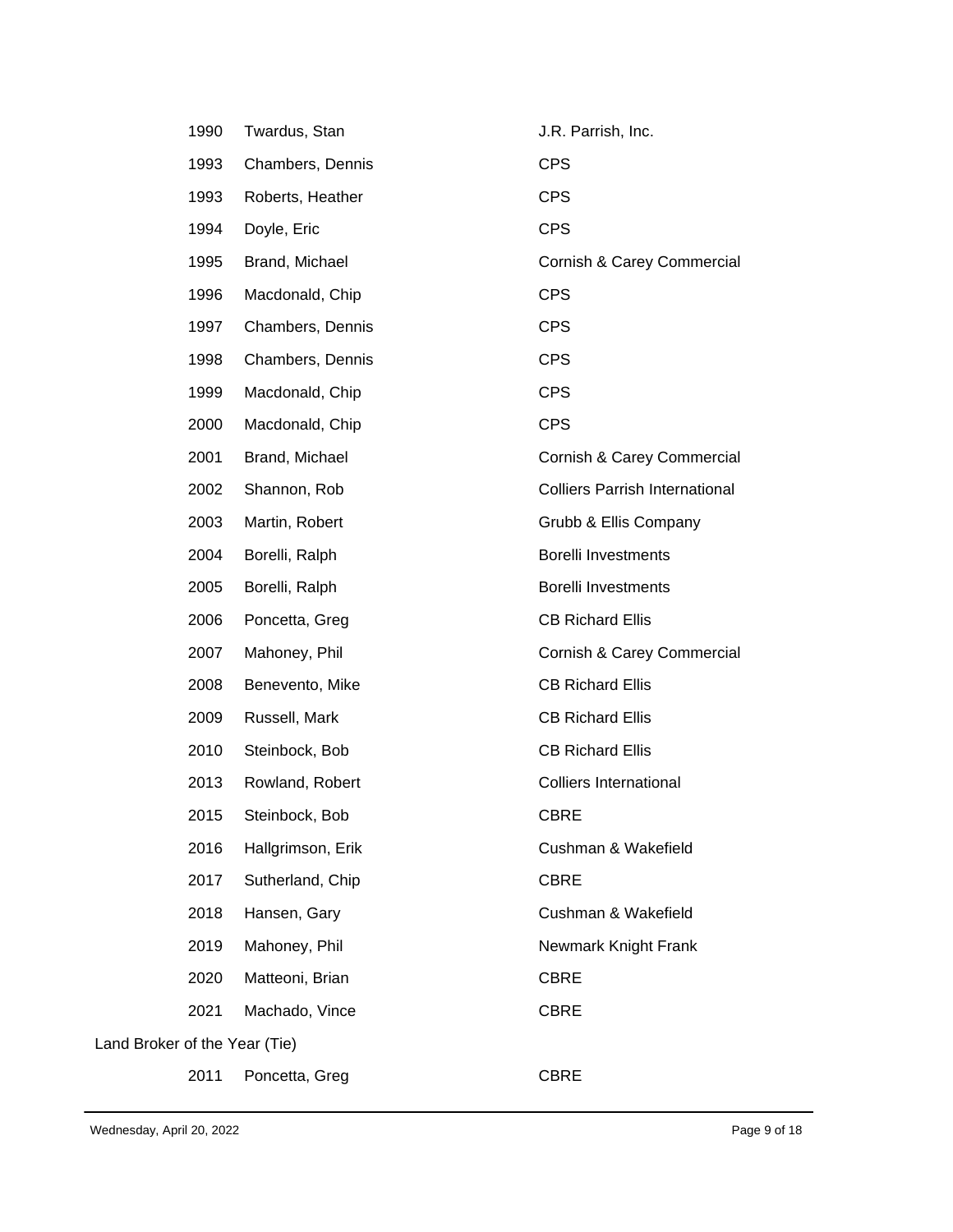| 1990 | Twardus, Stan                 | J.R. Parrish, Inc.                    |  |  |  |
|------|-------------------------------|---------------------------------------|--|--|--|
| 1993 | Chambers, Dennis              | <b>CPS</b>                            |  |  |  |
| 1993 | Roberts, Heather              | <b>CPS</b>                            |  |  |  |
| 1994 | Doyle, Eric                   | <b>CPS</b>                            |  |  |  |
| 1995 | Brand, Michael                | Cornish & Carey Commercial            |  |  |  |
| 1996 | Macdonald, Chip               | <b>CPS</b>                            |  |  |  |
| 1997 | Chambers, Dennis              | <b>CPS</b>                            |  |  |  |
| 1998 | Chambers, Dennis              | <b>CPS</b>                            |  |  |  |
| 1999 | Macdonald, Chip               | <b>CPS</b>                            |  |  |  |
| 2000 | Macdonald, Chip               | <b>CPS</b>                            |  |  |  |
| 2001 | Brand, Michael                | Cornish & Carey Commercial            |  |  |  |
| 2002 | Shannon, Rob                  | <b>Colliers Parrish International</b> |  |  |  |
| 2003 | Martin, Robert                | Grubb & Ellis Company                 |  |  |  |
| 2004 | Borelli, Ralph                | Borelli Investments                   |  |  |  |
| 2005 | Borelli, Ralph                | Borelli Investments                   |  |  |  |
| 2006 | Poncetta, Greg                | <b>CB Richard Ellis</b>               |  |  |  |
| 2007 | Mahoney, Phil                 | Cornish & Carey Commercial            |  |  |  |
| 2008 | Benevento, Mike               | <b>CB Richard Ellis</b>               |  |  |  |
| 2009 | Russell, Mark                 | <b>CB Richard Ellis</b>               |  |  |  |
| 2010 | Steinbock, Bob                | <b>CB Richard Ellis</b>               |  |  |  |
| 2013 | Rowland, Robert               | <b>Colliers International</b>         |  |  |  |
| 2015 | Steinbock, Bob                | <b>CBRE</b>                           |  |  |  |
| 2016 | Hallgrimson, Erik             | Cushman & Wakefield                   |  |  |  |
| 2017 | Sutherland, Chip              | <b>CBRE</b>                           |  |  |  |
| 2018 | Hansen, Gary                  | Cushman & Wakefield                   |  |  |  |
| 2019 | Mahoney, Phil                 | Newmark Knight Frank                  |  |  |  |
| 2020 | Matteoni, Brian               | <b>CBRE</b>                           |  |  |  |
| 2021 | Machado, Vince                | <b>CBRE</b>                           |  |  |  |
|      | Land Broker of the Year (Tie) |                                       |  |  |  |
| 2011 | Poncetta, Greg                | <b>CBRE</b>                           |  |  |  |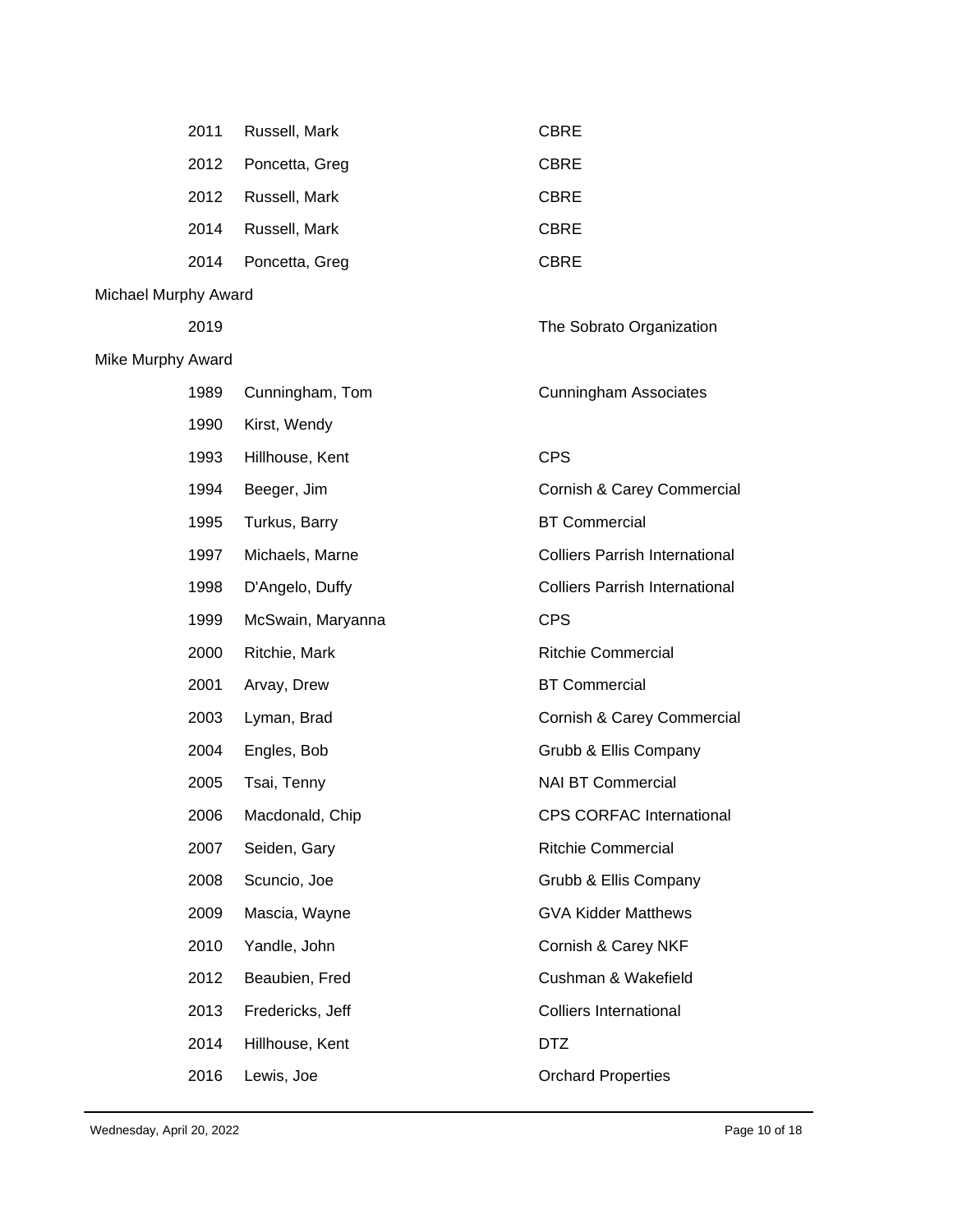|                          | 2011 | Russell, Mark     | <b>CBRE</b>                           |
|--------------------------|------|-------------------|---------------------------------------|
|                          | 2012 | Poncetta, Greg    | <b>CBRE</b>                           |
|                          | 2012 | Russell, Mark     | <b>CBRE</b>                           |
|                          | 2014 | Russell, Mark     | <b>CBRE</b>                           |
|                          | 2014 | Poncetta, Greg    | <b>CBRE</b>                           |
| Michael Murphy Award     |      |                   |                                       |
|                          | 2019 |                   | The Sobrato Organization              |
| <b>Mike Murphy Award</b> |      |                   |                                       |
|                          | 1989 | Cunningham, Tom   | <b>Cunningham Associates</b>          |
|                          | 1990 | Kirst, Wendy      |                                       |
|                          | 1993 | Hillhouse, Kent   | <b>CPS</b>                            |
|                          | 1994 | Beeger, Jim       | Cornish & Carey Commercial            |
|                          | 1995 | Turkus, Barry     | <b>BT Commercial</b>                  |
|                          | 1997 | Michaels, Marne   | <b>Colliers Parrish International</b> |
|                          | 1998 | D'Angelo, Duffy   | <b>Colliers Parrish International</b> |
|                          |      |                   |                                       |
|                          | 1999 | McSwain, Maryanna | <b>CPS</b>                            |
|                          | 2000 | Ritchie, Mark     | <b>Ritchie Commercial</b>             |
|                          | 2001 | Arvay, Drew       | <b>BT Commercial</b>                  |
|                          | 2003 | Lyman, Brad       | Cornish & Carey Commercial            |
|                          | 2004 | Engles, Bob       | Grubb & Ellis Company                 |
|                          | 2005 | Tsai, Tenny       | <b>NAI BT Commercial</b>              |
|                          | 2006 | Macdonald, Chip   | CPS CORFAC International              |
|                          | 2007 | Seiden, Gary      | <b>Ritchie Commercial</b>             |
|                          | 2008 | Scuncio, Joe      | Grubb & Ellis Company                 |
|                          | 2009 | Mascia, Wayne     | <b>GVA Kidder Matthews</b>            |
|                          | 2010 | Yandle, John      | Cornish & Carey NKF                   |
|                          | 2012 | Beaubien, Fred    | Cushman & Wakefield                   |
|                          | 2013 | Fredericks, Jeff  | <b>Colliers International</b>         |
|                          | 2014 | Hillhouse, Kent   | <b>DTZ</b>                            |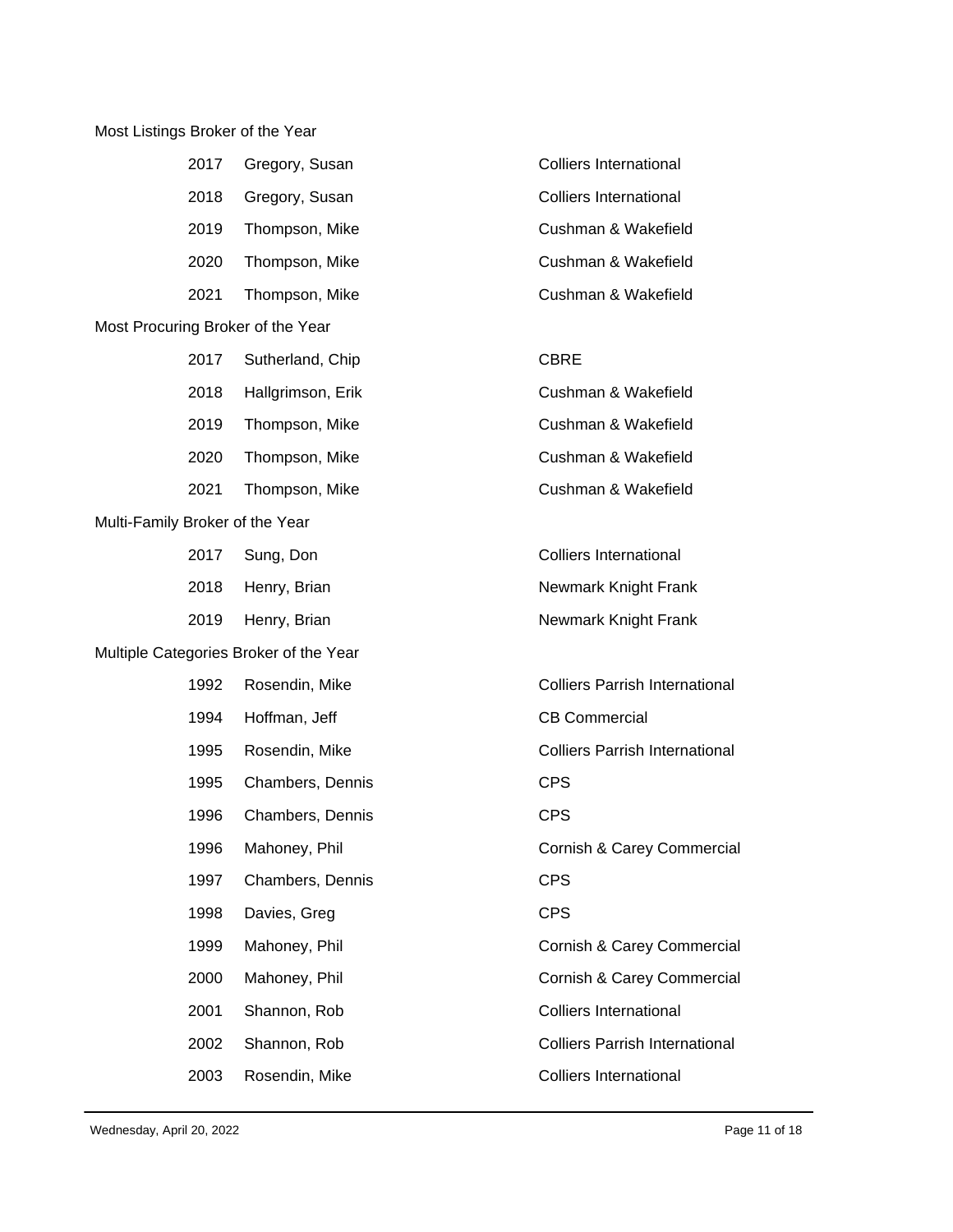## Most Listings Broker of the Year

| 2017                              | Gregory, Susan                         | <b>Colliers International</b>         |
|-----------------------------------|----------------------------------------|---------------------------------------|
| 2018                              | Gregory, Susan                         | <b>Colliers International</b>         |
| 2019                              | Thompson, Mike                         | Cushman & Wakefield                   |
| 2020                              | Thompson, Mike                         | Cushman & Wakefield                   |
| 2021                              | Thompson, Mike                         | Cushman & Wakefield                   |
| Most Procuring Broker of the Year |                                        |                                       |
| 2017                              | Sutherland, Chip                       | <b>CBRE</b>                           |
| 2018                              | Hallgrimson, Erik                      | Cushman & Wakefield                   |
| 2019                              | Thompson, Mike                         | Cushman & Wakefield                   |
| 2020                              | Thompson, Mike                         | Cushman & Wakefield                   |
| 2021                              | Thompson, Mike                         | Cushman & Wakefield                   |
| Multi-Family Broker of the Year   |                                        |                                       |
| 2017                              | Sung, Don                              | <b>Colliers International</b>         |
| 2018                              | Henry, Brian                           | Newmark Knight Frank                  |
| 2019                              | Henry, Brian                           | Newmark Knight Frank                  |
|                                   | Multiple Categories Broker of the Year |                                       |
| 1992                              | Rosendin, Mike                         | <b>Colliers Parrish International</b> |
| 1994                              | Hoffman, Jeff                          | <b>CB Commercial</b>                  |
| 1995                              | Rosendin, Mike                         | <b>Colliers Parrish International</b> |
| 1995                              | Chambers, Dennis                       | <b>CPS</b>                            |
| 1996                              | Chambers, Dennis                       | <b>CPS</b>                            |
| 1996                              | Mahoney, Phil                          | Cornish & Carey Commercial            |
| 1997                              | Chambers, Dennis                       | <b>CPS</b>                            |
| 1998                              | Davies, Greg                           | <b>CPS</b>                            |
| 1999                              | Mahoney, Phil                          | Cornish & Carey Commercial            |
| 2000                              | Mahoney, Phil                          | Cornish & Carey Commercial            |
| 2001                              | Shannon, Rob                           | <b>Colliers International</b>         |
| 2002                              | Shannon, Rob                           | <b>Colliers Parrish International</b> |
| 2003                              | Rosendin, Mike                         | <b>Colliers International</b>         |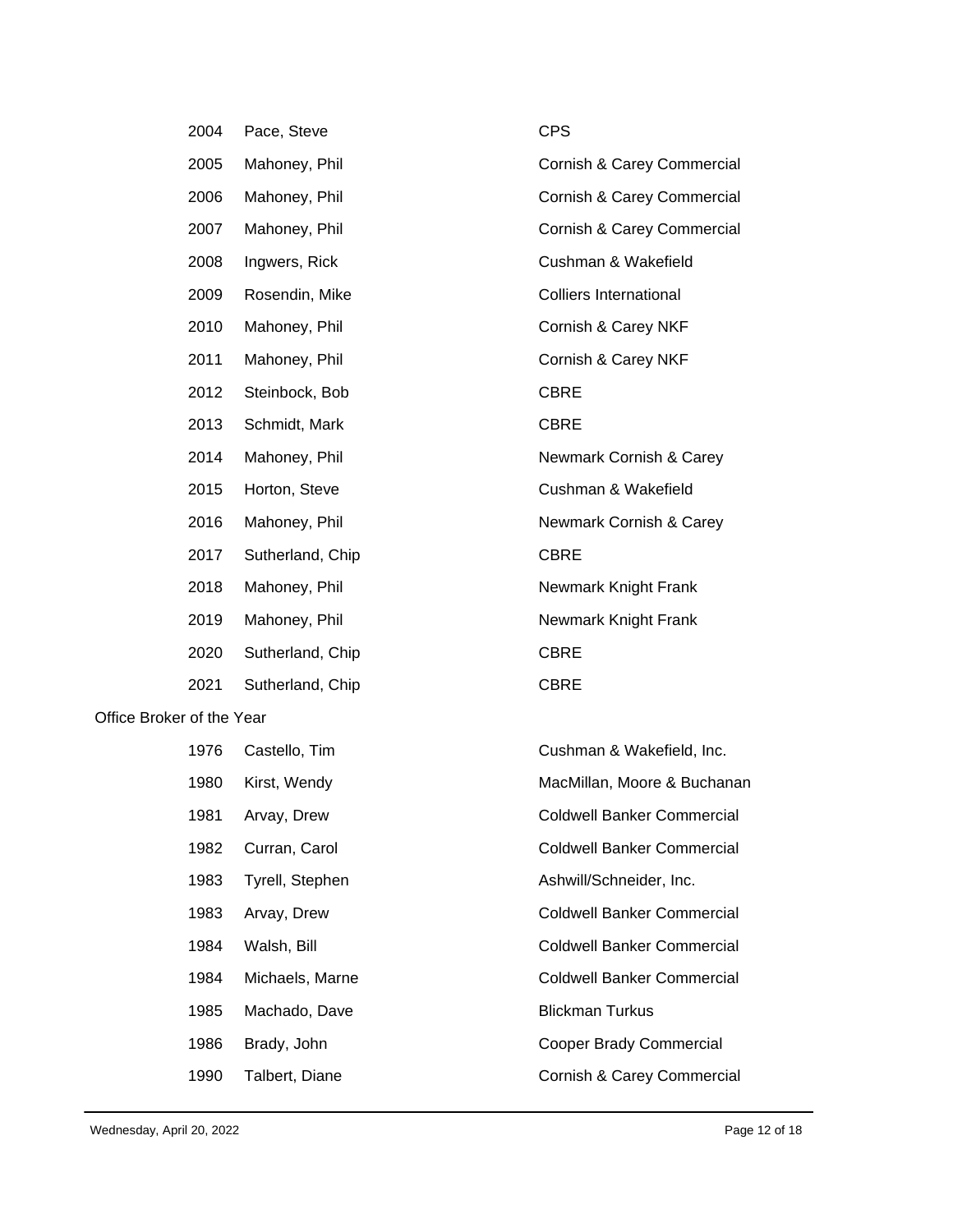|                           | 2004 | Pace, Steve      | <b>CPS</b>                        |  |
|---------------------------|------|------------------|-----------------------------------|--|
|                           | 2005 | Mahoney, Phil    | Cornish & Carey Commercial        |  |
|                           | 2006 | Mahoney, Phil    | Cornish & Carey Commercial        |  |
|                           | 2007 | Mahoney, Phil    | Cornish & Carey Commercial        |  |
|                           | 2008 | Ingwers, Rick    | Cushman & Wakefield               |  |
|                           | 2009 | Rosendin, Mike   | <b>Colliers International</b>     |  |
|                           | 2010 | Mahoney, Phil    | Cornish & Carey NKF               |  |
|                           | 2011 | Mahoney, Phil    | Cornish & Carey NKF               |  |
|                           | 2012 | Steinbock, Bob   | <b>CBRE</b>                       |  |
|                           | 2013 | Schmidt, Mark    | <b>CBRE</b>                       |  |
|                           | 2014 | Mahoney, Phil    | Newmark Cornish & Carey           |  |
|                           | 2015 | Horton, Steve    | Cushman & Wakefield               |  |
|                           | 2016 | Mahoney, Phil    | Newmark Cornish & Carey           |  |
|                           | 2017 | Sutherland, Chip | <b>CBRE</b>                       |  |
|                           | 2018 | Mahoney, Phil    | Newmark Knight Frank              |  |
|                           | 2019 | Mahoney, Phil    | Newmark Knight Frank              |  |
|                           | 2020 | Sutherland, Chip | <b>CBRE</b>                       |  |
|                           | 2021 | Sutherland, Chip | <b>CBRE</b>                       |  |
| Office Broker of the Year |      |                  |                                   |  |
|                           | 1976 | Castello, Tim    | Cushman & Wakefield, Inc.         |  |
|                           | 1980 | Kirst, Wendy     | MacMillan, Moore & Buchanan       |  |
|                           | 1981 | Arvay, Drew      | <b>Coldwell Banker Commercial</b> |  |
|                           | 1982 | Curran, Carol    | <b>Coldwell Banker Commercial</b> |  |
|                           | 1983 | Tyrell, Stephen  | Ashwill/Schneider, Inc.           |  |
|                           | 1983 | Arvay, Drew      | <b>Coldwell Banker Commercial</b> |  |
|                           | 1984 | Walsh, Bill      | <b>Coldwell Banker Commercial</b> |  |
|                           | 1984 | Michaels, Marne  | <b>Coldwell Banker Commercial</b> |  |
|                           | 1985 | Machado, Dave    | <b>Blickman Turkus</b>            |  |

- Brady, John Cooper Brady Commercial
- 1990 Talbert, Diane Cornish & Carey Commercial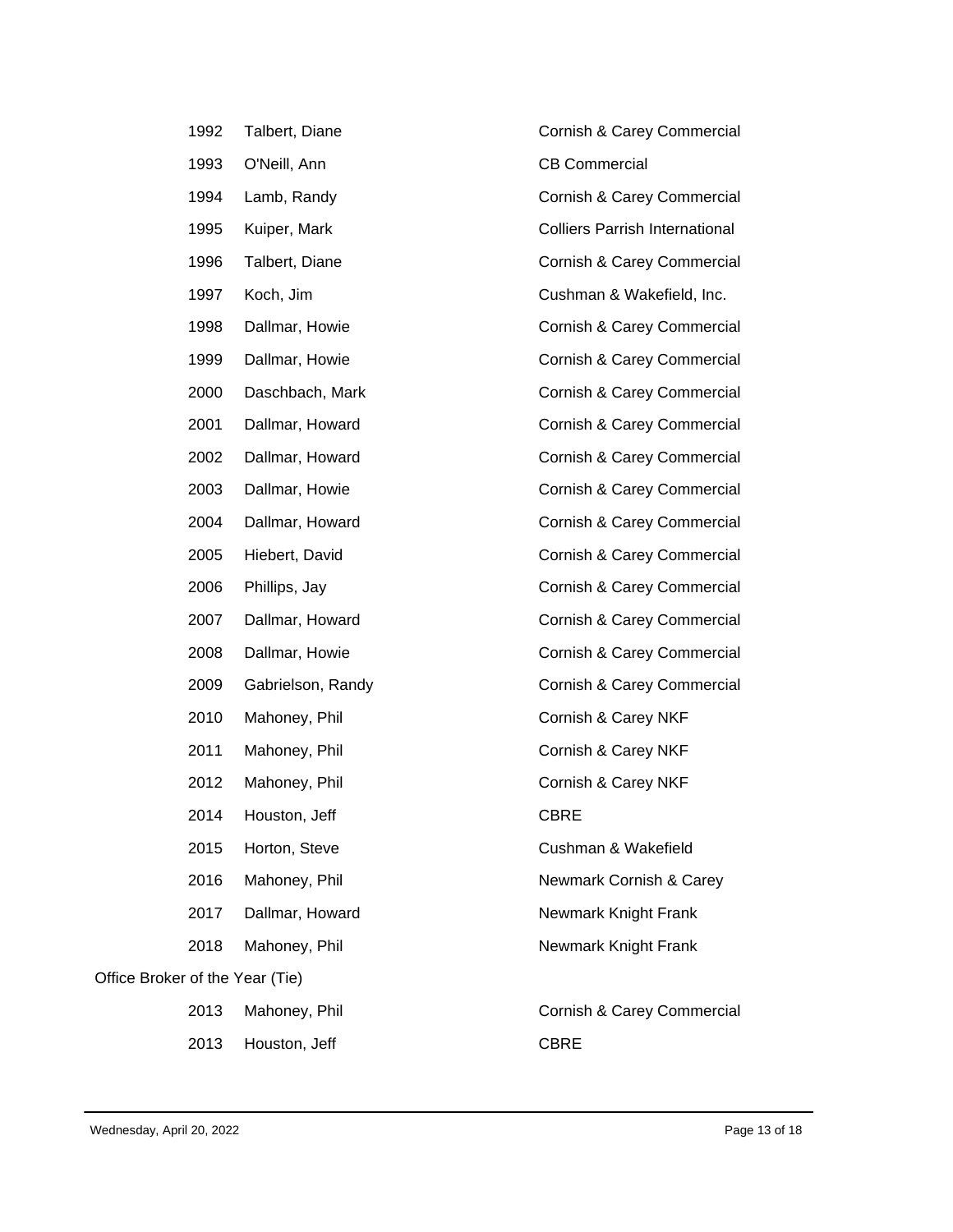|                                 | 1992 | Talbert, Diane    | Cornish & Carey Commercial            |
|---------------------------------|------|-------------------|---------------------------------------|
|                                 | 1993 | O'Neill, Ann      | <b>CB Commercial</b>                  |
|                                 | 1994 | Lamb, Randy       | Cornish & Carey Commercial            |
|                                 | 1995 | Kuiper, Mark      | <b>Colliers Parrish International</b> |
|                                 | 1996 | Talbert, Diane    | Cornish & Carey Commercial            |
|                                 | 1997 | Koch, Jim         | Cushman & Wakefield, Inc.             |
|                                 | 1998 | Dallmar, Howie    | Cornish & Carey Commercial            |
|                                 | 1999 | Dallmar, Howie    | Cornish & Carey Commercial            |
|                                 | 2000 | Daschbach, Mark   | Cornish & Carey Commercial            |
|                                 | 2001 | Dallmar, Howard   | Cornish & Carey Commercial            |
|                                 | 2002 | Dallmar, Howard   | Cornish & Carey Commercial            |
|                                 | 2003 | Dallmar, Howie    | Cornish & Carey Commercial            |
|                                 | 2004 | Dallmar, Howard   | Cornish & Carey Commercial            |
|                                 | 2005 | Hiebert, David    | Cornish & Carey Commercial            |
|                                 | 2006 | Phillips, Jay     | Cornish & Carey Commercial            |
|                                 | 2007 | Dallmar, Howard   | Cornish & Carey Commercial            |
|                                 | 2008 | Dallmar, Howie    | Cornish & Carey Commercial            |
|                                 | 2009 | Gabrielson, Randy | Cornish & Carey Commercial            |
|                                 | 2010 | Mahoney, Phil     | Cornish & Carey NKF                   |
|                                 | 2011 | Mahoney, Phil     | Cornish & Carey NKF                   |
|                                 | 2012 | Mahoney, Phil     | Cornish & Carey NKF                   |
|                                 | 2014 | Houston, Jeff     | <b>CBRE</b>                           |
|                                 | 2015 | Horton, Steve     | Cushman & Wakefield                   |
|                                 | 2016 | Mahoney, Phil     | Newmark Cornish & Carey               |
|                                 | 2017 | Dallmar, Howard   | Newmark Knight Frank                  |
|                                 | 2018 | Mahoney, Phil     | Newmark Knight Frank                  |
| Office Broker of the Year (Tie) |      |                   |                                       |
|                                 | 2013 | Mahoney, Phil     | Cornish & Carey Commercial            |
|                                 | 2013 | Houston, Jeff     | <b>CBRE</b>                           |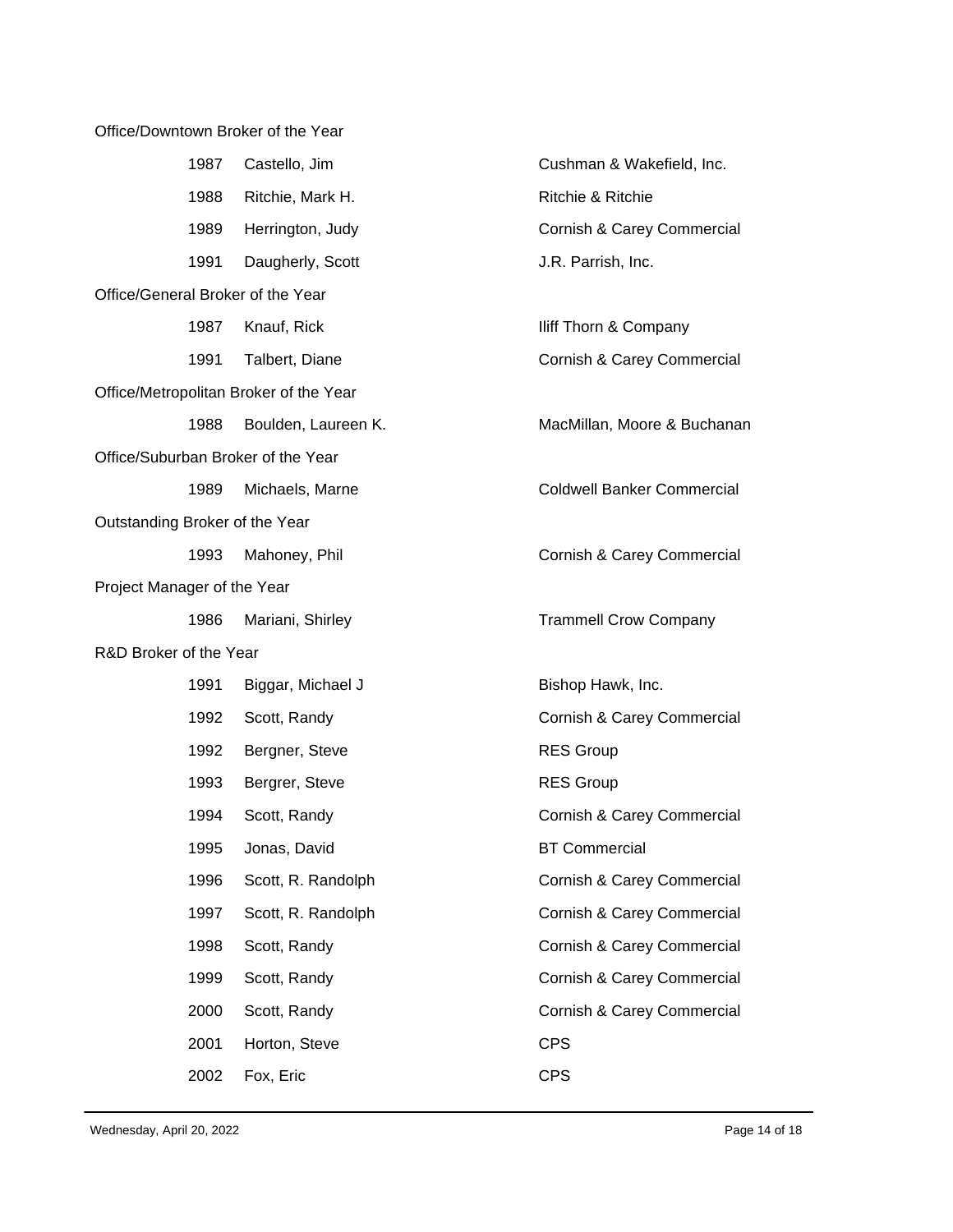Office/Downtown Broker of the Year 1987 Castello, Jim Cushman & Wakefield, Inc. 1988 Ritchie, Mark H. (1988) Ritchie & Ritchie 1989 Herrington, Judy Cornish & Carey Commercial 1991 Daugherly, Scott J.R. Parrish, Inc. Office/General Broker of the Year 1987 Knauf, Rick **Internal Company** Iliff Thorn & Company 1991 Talbert, Diane Cornish & Carey Commercial Office/Metropolitan Broker of the Year 1988 Boulden, Laureen K. MacMillan, Moore & Buchanan Office/Suburban Broker of the Year 1989 Michaels, Marne **Coldwell Banker Commercial** Outstanding Broker of the Year 1993 Mahoney, Phil **Commercial** Cornish & Carey Commercial Project Manager of the Year 1986 Mariani, Shirley **Trammell Crow Company** R&D Broker of the Year 1991 Biggar, Michael J Bishop Hawk, Inc. 1992 Scott, Randy Cornish & Carey Commercial 1992 Bergner, Steve **RES Group** 1993 Bergrer, Steve **RES Group** 1994 Scott, Randy Cornish & Carey Commercial 1995 Jonas, David **BT Commercial** 1996 Scott, R. Randolph Cornish & Carey Commercial 1997 Scott, R. Randolph Cornish & Carey Commercial 1998 Scott, Randy Cornish & Carey Commercial 1999 Scott, Randy **Commercial** Cornish & Carey Commercial 2000 Scott, Randy Cornish & Carey Commercial 2001 Horton, Steve **CPS** 2002 Fox, Eric CPS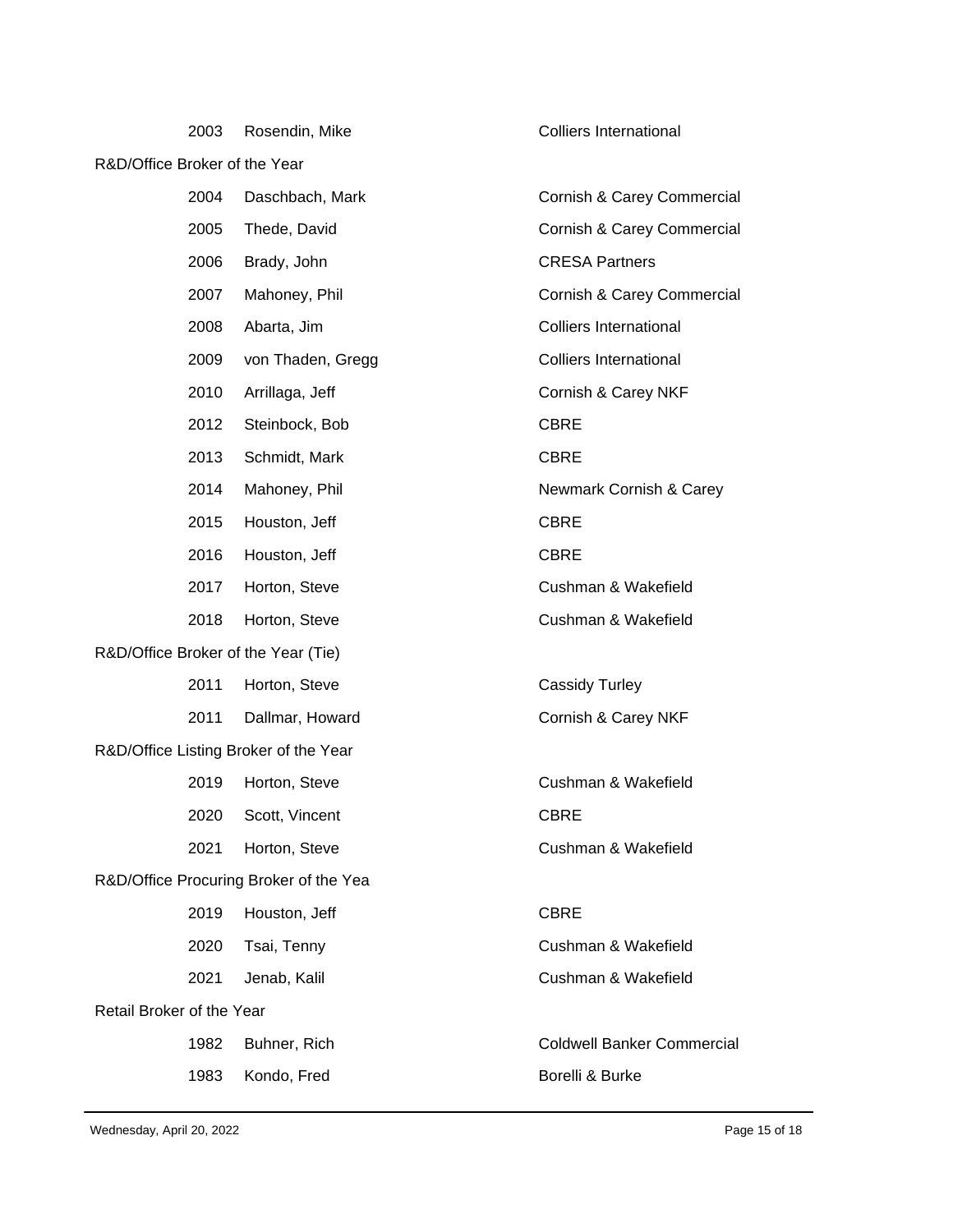|                                        | 2003 | Rosendin, Mike                        | Colliers International            |  |
|----------------------------------------|------|---------------------------------------|-----------------------------------|--|
| R&D/Office Broker of the Year          |      |                                       |                                   |  |
|                                        | 2004 | Daschbach, Mark                       | Cornish & Carey Commercial        |  |
|                                        | 2005 | Thede, David                          | Cornish & Carey Commercial        |  |
|                                        | 2006 | Brady, John                           | <b>CRESA Partners</b>             |  |
|                                        | 2007 | Mahoney, Phil                         | Cornish & Carey Commercial        |  |
|                                        | 2008 | Abarta, Jim                           | <b>Colliers International</b>     |  |
|                                        | 2009 | von Thaden, Gregg                     | <b>Colliers International</b>     |  |
|                                        | 2010 | Arrillaga, Jeff                       | Cornish & Carey NKF               |  |
|                                        | 2012 | Steinbock, Bob                        | <b>CBRE</b>                       |  |
|                                        | 2013 | Schmidt, Mark                         | <b>CBRE</b>                       |  |
|                                        | 2014 | Mahoney, Phil                         | Newmark Cornish & Carey           |  |
|                                        | 2015 | Houston, Jeff                         | <b>CBRE</b>                       |  |
|                                        | 2016 | Houston, Jeff                         | <b>CBRE</b>                       |  |
|                                        | 2017 | Horton, Steve                         | Cushman & Wakefield               |  |
|                                        | 2018 | Horton, Steve                         | Cushman & Wakefield               |  |
| R&D/Office Broker of the Year (Tie)    |      |                                       |                                   |  |
|                                        | 2011 | Horton, Steve                         | <b>Cassidy Turley</b>             |  |
|                                        | 2011 | Dallmar, Howard                       | Cornish & Carey NKF               |  |
|                                        |      | R&D/Office Listing Broker of the Year |                                   |  |
|                                        | 2019 | Horton, Steve                         | Cushman & Wakefield               |  |
|                                        | 2020 | Scott, Vincent                        | <b>CBRE</b>                       |  |
|                                        | 2021 | Horton, Steve                         | Cushman & Wakefield               |  |
| R&D/Office Procuring Broker of the Yea |      |                                       |                                   |  |
|                                        | 2019 | Houston, Jeff                         | <b>CBRE</b>                       |  |
|                                        | 2020 | Tsai, Tenny                           | Cushman & Wakefield               |  |
|                                        | 2021 | Jenab, Kalil                          | Cushman & Wakefield               |  |
| Retail Broker of the Year              |      |                                       |                                   |  |
|                                        | 1982 | Buhner, Rich                          | <b>Coldwell Banker Commercial</b> |  |
|                                        | 1983 | Kondo, Fred                           | Borelli & Burke                   |  |
|                                        |      |                                       |                                   |  |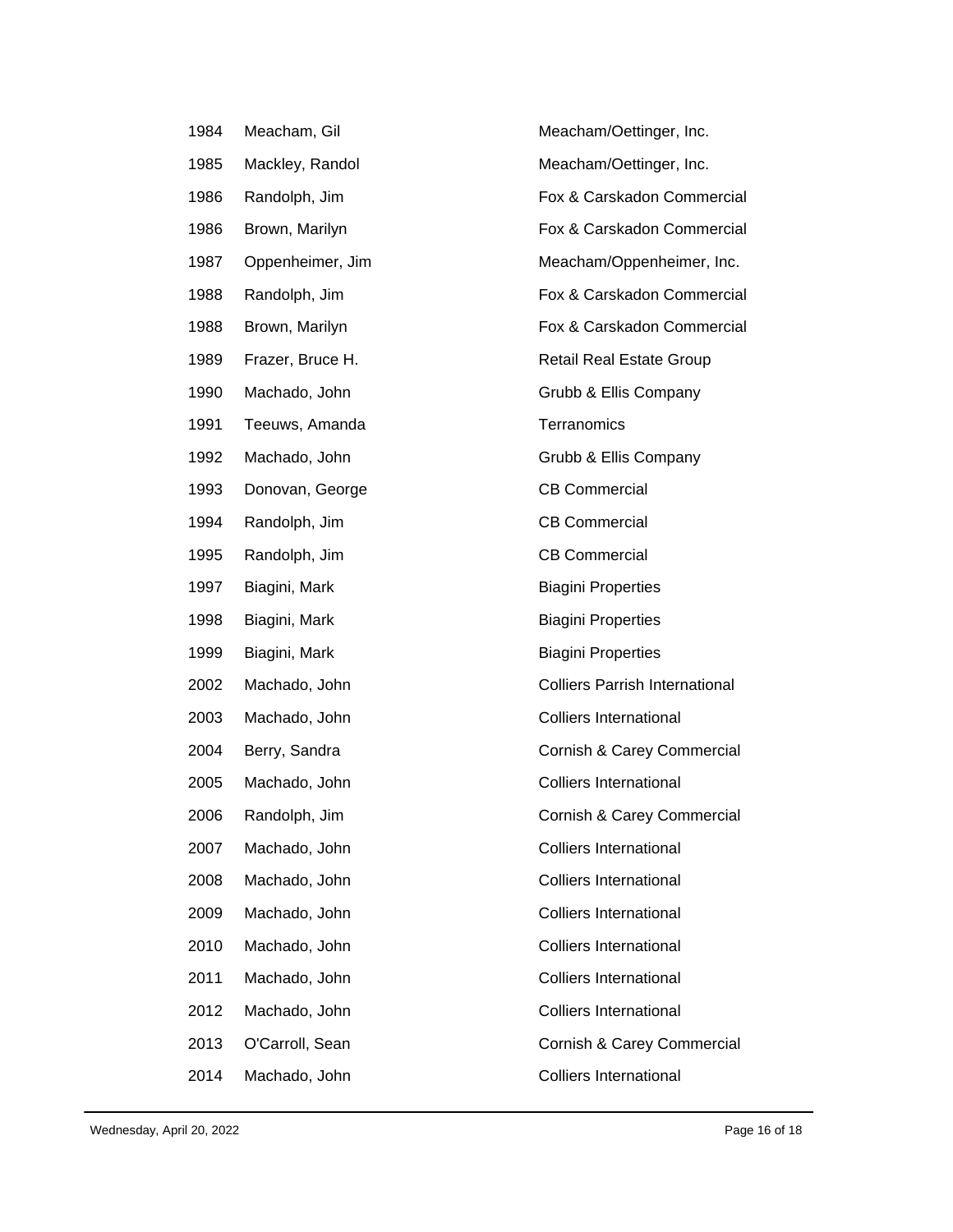| 1984 | Meacham, Gil     | Meacham/Oettinger, Inc.               |
|------|------------------|---------------------------------------|
| 1985 | Mackley, Randol  | Meacham/Oettinger, Inc.               |
| 1986 | Randolph, Jim    | Fox & Carskadon Commercial            |
| 1986 | Brown, Marilyn   | Fox & Carskadon Commercial            |
| 1987 | Oppenheimer, Jim | Meacham/Oppenheimer, Inc.             |
| 1988 | Randolph, Jim    | Fox & Carskadon Commercial            |
| 1988 | Brown, Marilyn   | Fox & Carskadon Commercial            |
| 1989 | Frazer, Bruce H. | <b>Retail Real Estate Group</b>       |
| 1990 | Machado, John    | Grubb & Ellis Company                 |
| 1991 | Teeuws, Amanda   | Terranomics                           |
| 1992 | Machado, John    | Grubb & Ellis Company                 |
| 1993 | Donovan, George  | <b>CB Commercial</b>                  |
| 1994 | Randolph, Jim    | <b>CB Commercial</b>                  |
| 1995 | Randolph, Jim    | <b>CB Commercial</b>                  |
| 1997 | Biagini, Mark    | <b>Biagini Properties</b>             |
| 1998 | Biagini, Mark    | <b>Biagini Properties</b>             |
| 1999 | Biagini, Mark    | <b>Biagini Properties</b>             |
| 2002 | Machado, John    | <b>Colliers Parrish International</b> |
| 2003 | Machado, John    | <b>Colliers International</b>         |
| 2004 | Berry, Sandra    | Cornish & Carey Commercial            |
| 2005 | Machado, John    | <b>Colliers International</b>         |
| 2006 | Randolph, Jim    | Cornish & Carey Commercial            |
| 2007 |                  |                                       |
|      | Machado, John    | <b>Colliers International</b>         |
| 2008 | Machado, John    | <b>Colliers International</b>         |
| 2009 | Machado, John    | <b>Colliers International</b>         |
| 2010 | Machado, John    | <b>Colliers International</b>         |
| 2011 | Machado, John    | <b>Colliers International</b>         |
| 2012 | Machado, John    | <b>Colliers International</b>         |
| 2013 | O'Carroll, Sean  | Cornish & Carey Commercial            |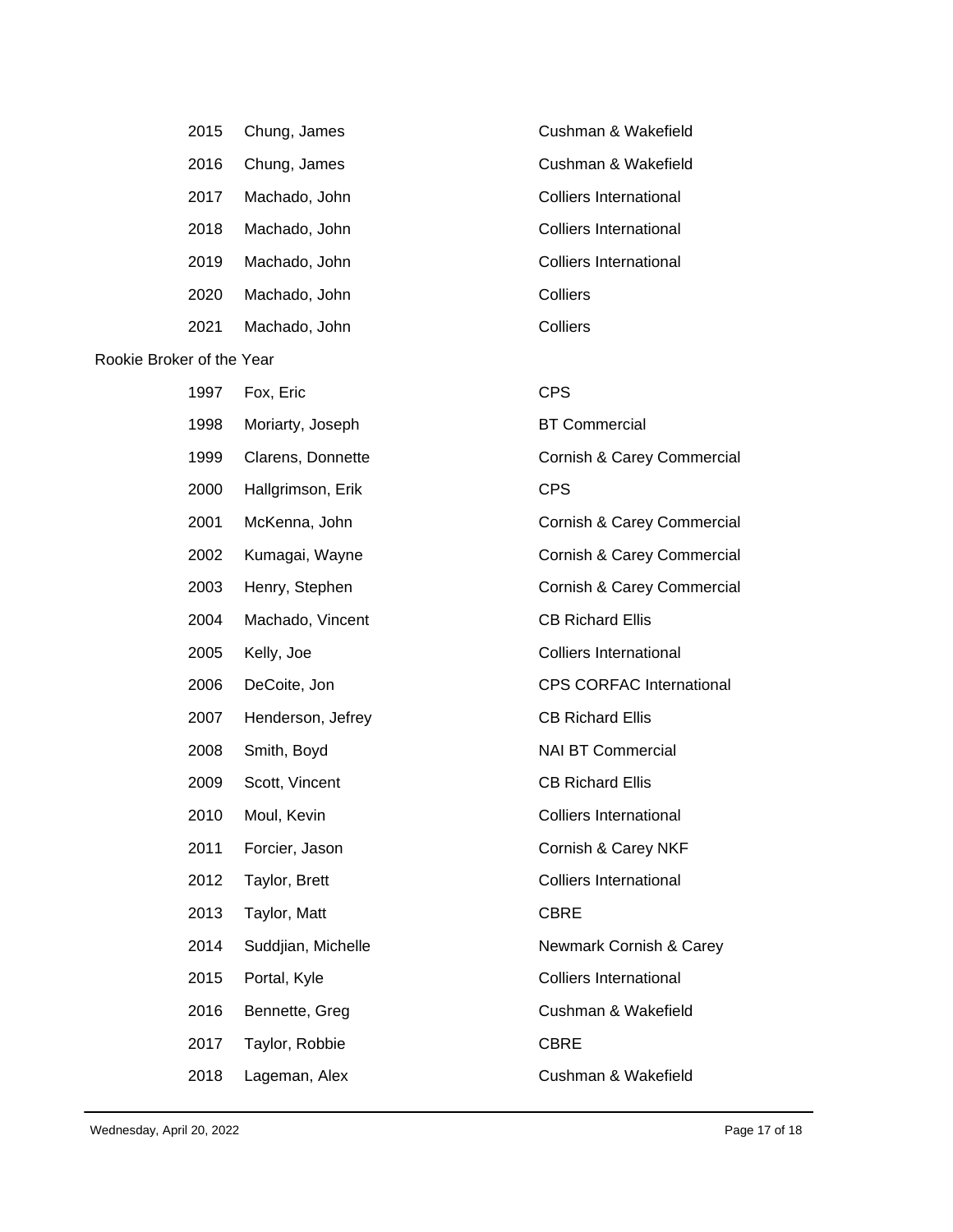|                           | 2015 | Chung, James       | Cushman & Wakefield             |
|---------------------------|------|--------------------|---------------------------------|
|                           | 2016 | Chung, James       | Cushman & Wakefield             |
|                           | 2017 | Machado, John      | <b>Colliers International</b>   |
|                           | 2018 | Machado, John      | <b>Colliers International</b>   |
|                           | 2019 | Machado, John      | <b>Colliers International</b>   |
|                           | 2020 | Machado, John      | Colliers                        |
|                           | 2021 | Machado, John      | Colliers                        |
| Rookie Broker of the Year |      |                    |                                 |
|                           | 1997 | Fox, Eric          | <b>CPS</b>                      |
|                           | 1998 | Moriarty, Joseph   | <b>BT Commercial</b>            |
|                           | 1999 | Clarens, Donnette  | Cornish & Carey Commercial      |
|                           | 2000 | Hallgrimson, Erik  | <b>CPS</b>                      |
|                           | 2001 | McKenna, John      | Cornish & Carey Commercial      |
|                           | 2002 | Kumagai, Wayne     | Cornish & Carey Commercial      |
|                           | 2003 | Henry, Stephen     | Cornish & Carey Commercial      |
|                           | 2004 | Machado, Vincent   | <b>CB Richard Ellis</b>         |
|                           | 2005 | Kelly, Joe         | <b>Colliers International</b>   |
|                           | 2006 | DeCoite, Jon       | <b>CPS CORFAC International</b> |
|                           | 2007 | Henderson, Jefrey  | <b>CB Richard Ellis</b>         |
|                           | 2008 | Smith, Boyd        | <b>NAI BT Commercial</b>        |
|                           | 2009 | Scott, Vincent     | <b>CB Richard Ellis</b>         |
|                           | 2010 | Moul, Kevin        | <b>Colliers International</b>   |
|                           | 2011 | Forcier, Jason     | Cornish & Carey NKF             |
|                           | 2012 | Taylor, Brett      | <b>Colliers International</b>   |
|                           | 2013 | Taylor, Matt       | <b>CBRE</b>                     |
|                           | 2014 | Suddjian, Michelle | Newmark Cornish & Carey         |
|                           | 2015 | Portal, Kyle       | <b>Colliers International</b>   |
|                           | 2016 | Bennette, Greg     | Cushman & Wakefield             |
|                           | 2017 | Taylor, Robbie     | <b>CBRE</b>                     |
|                           | 2018 | Lageman, Alex      | Cushman & Wakefield             |